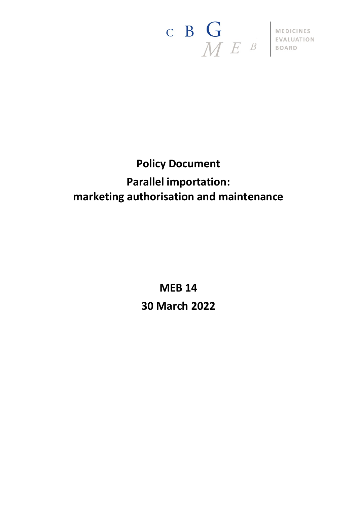

# **Policy Document Parallel importation: marketing authorisation and maintenance**

**MEB 14 30 March 2022**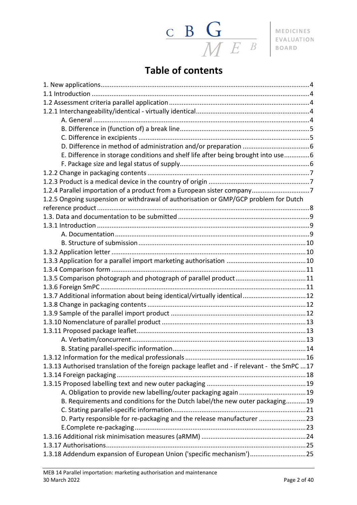

# **Table of contents**

| E. Difference in storage conditions and shelf life after being brought into use6              |  |
|-----------------------------------------------------------------------------------------------|--|
|                                                                                               |  |
|                                                                                               |  |
|                                                                                               |  |
| 1.2.4 Parallel importation of a product from a European sister company7                       |  |
| 1.2.5 Ongoing suspension or withdrawal of authorisation or GMP/GCP problem for Dutch          |  |
|                                                                                               |  |
|                                                                                               |  |
|                                                                                               |  |
|                                                                                               |  |
|                                                                                               |  |
|                                                                                               |  |
|                                                                                               |  |
|                                                                                               |  |
|                                                                                               |  |
|                                                                                               |  |
| 1.3.7 Additional information about being identical/virtually identical12                      |  |
|                                                                                               |  |
|                                                                                               |  |
|                                                                                               |  |
|                                                                                               |  |
|                                                                                               |  |
|                                                                                               |  |
|                                                                                               |  |
| 1.3.13 Authorised translation of the foreign package leaflet and - if relevant - the SmPC  17 |  |
|                                                                                               |  |
|                                                                                               |  |
|                                                                                               |  |
| B. Requirements and conditions for the Dutch label/the new outer packaging19                  |  |
|                                                                                               |  |
| D. Party responsible for re-packaging and the release manufacturer 23                         |  |
|                                                                                               |  |
|                                                                                               |  |
|                                                                                               |  |
| 1.3.18 Addendum expansion of European Union ('specific mechanism')25                          |  |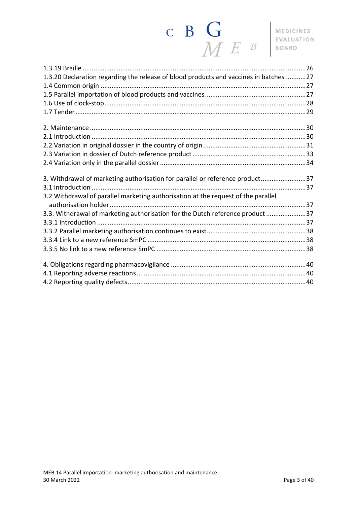# $\begin{array}{c|c|c|c} \textbf{C} & \textbf{B} & \textbf{G} & \textbf{MEDICINES} \\\hline \textbf{M} & \textbf{E} & \textbf{B} & \textbf{BOARD} \\\hline \end{array}$

| 1.3.20 Declaration regarding the release of blood products and vaccines in batches 27 |  |
|---------------------------------------------------------------------------------------|--|
|                                                                                       |  |
|                                                                                       |  |
|                                                                                       |  |
|                                                                                       |  |
|                                                                                       |  |
|                                                                                       |  |
|                                                                                       |  |
|                                                                                       |  |
|                                                                                       |  |
| 3. Withdrawal of marketing authorisation for parallel or reference product37          |  |
|                                                                                       |  |
| 3.2 Withdrawal of parallel marketing authorisation at the request of the parallel     |  |
|                                                                                       |  |
| 3.3. Withdrawal of marketing authorisation for the Dutch reference product 37         |  |
|                                                                                       |  |
|                                                                                       |  |
|                                                                                       |  |
|                                                                                       |  |
|                                                                                       |  |
|                                                                                       |  |
|                                                                                       |  |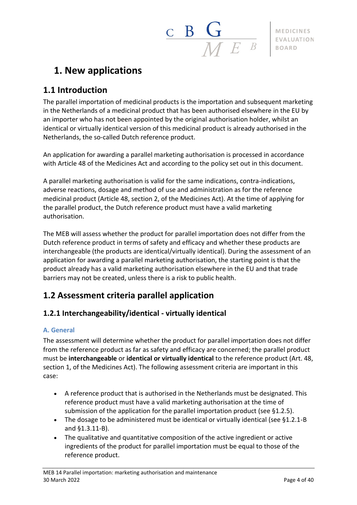# $\begin{array}{c|c|c|c} \hline \textbf{c} & \textbf{B} & \textbf{G} \ \hline \textbf{M} & \textbf{F} & \textbf{B} \end{array}$  MEDICINES EVALUATION

# <span id="page-3-0"></span>**1. New applications**

# <span id="page-3-1"></span>**1.1 Introduction**

The parallel importation of medicinal products is the importation and subsequent marketing in the Netherlands of a medicinal product that has been authorised elsewhere in the EU by an importer who has not been appointed by the original authorisation holder, whilst an identical or virtually identical version of this medicinal product is already authorised in the Netherlands, the so-called Dutch reference product.

An application for awarding a parallel marketing authorisation is processed in accordance with Article 48 of the Medicines Act and according to the policy set out in this document.

A parallel marketing authorisation is valid for the same indications, contra-indications, adverse reactions, dosage and method of use and administration as for the reference medicinal product (Article 48, section 2, of the Medicines Act). At the time of applying for the parallel product, the Dutch reference product must have a valid marketing authorisation.

The MEB will assess whether the product for parallel importation does not differ from the Dutch reference product in terms of safety and efficacy and whether these products are interchangeable (the products are identical/virtually identical). During the assessment of an application for awarding a parallel marketing authorisation, the starting point is that the product already has a valid marketing authorisation elsewhere in the EU and that trade barriers may not be created, unless there is a risk to public health.

# <span id="page-3-2"></span>**1.2 Assessment criteria parallel application**

## <span id="page-3-3"></span>**1.2.1 Interchangeability/identical - virtually identical**

#### <span id="page-3-4"></span>**A. General**

The assessment will determine whether the product for parallel importation does not differ from the reference product as far as safety and efficacy are concerned; the parallel product must be **interchangeable** or **identical or virtually identical** to the reference product (Art. 48, section 1, of the Medicines Act). The following assessment criteria are important in this case:

- A reference product that is authorised in the Netherlands must be designated. This reference product must have a valid marketing authorisation at the time of submission of the application for the parallel importation product (see §1.2.5).
- The dosage to be administered must be identical or virtually identical (see §1.2.1-B and §1.3.11-B).
- The qualitative and quantitative composition of the active ingredient or active ingredients of the product for parallel importation must be equal to those of the reference product.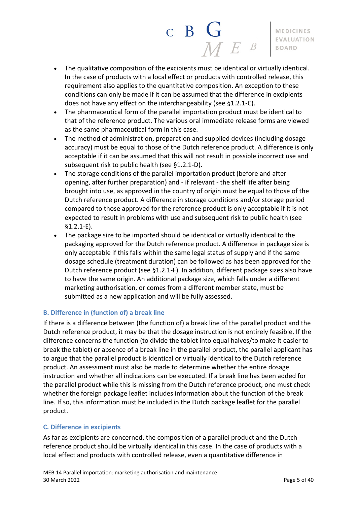• The qualitative composition of the excipients must be identical or virtually identical. In the case of products with a local effect or products with controlled release, this requirement also applies to the quantitative composition. An exception to these conditions can only be made if it can be assumed that the difference in excipients does not have any effect on the interchangeability (see §1.2.1-C).

 $\frac{\mathbf{C}}{\mathbf{B}} \frac{\mathbf{G}}{\mathbf{M}}$ 

- The pharmaceutical form of the parallel importation product must be identical to that of the reference product. The various oral immediate release forms are viewed as the same pharmaceutical form in this case.
- The method of administration, preparation and supplied devices (including dosage accuracy) must be equal to those of the Dutch reference product. A difference is only acceptable if it can be assumed that this will not result in possible incorrect use and subsequent risk to public health (see §1.2.1-D).
- The storage conditions of the parallel importation product (before and after opening, after further preparation) and - if relevant - the shelf life after being brought into use, as approved in the country of origin must be equal to those of the Dutch reference product. A difference in storage conditions and/or storage period compared to those approved for the reference product is only acceptable if it is not expected to result in problems with use and subsequent risk to public health (see §1.2.1-E).
- The package size to be imported should be identical or virtually identical to the packaging approved for the Dutch reference product. A difference in package size is only acceptable if this falls within the same legal status of supply and if the same dosage schedule (treatment duration) can be followed as has been approved for the Dutch reference product (see §1.2.1-F). In addition, different package sizes also have to have the same origin. An additional package size, which falls under a different marketing authorisation, or comes from a different member state, must be submitted as a new application and will be fully assessed.

#### <span id="page-4-0"></span>**B. Difference in (function of) a break line**

If there is a difference between (the function of) a break line of the parallel product and the Dutch reference product, it may be that the dosage instruction is not entirely feasible. If the difference concerns the function (to divide the tablet into equal halves/to make it easier to break the tablet) or absence of a break line in the parallel product, the parallel applicant has to argue that the parallel product is identical or virtually identical to the Dutch reference product. An assessment must also be made to determine whether the entire dosage instruction and whether all indications can be executed. If a break line has been added for the parallel product while this is missing from the Dutch reference product, one must check whether the foreign package leaflet includes information about the function of the break line. If so, this information must be included in the Dutch package leaflet for the parallel product.

#### <span id="page-4-1"></span>**C. Difference in excipients**

As far as excipients are concerned, the composition of a parallel product and the Dutch reference product should be virtually identical in this case. In the case of products with a local effect and products with controlled release, even a quantitative difference in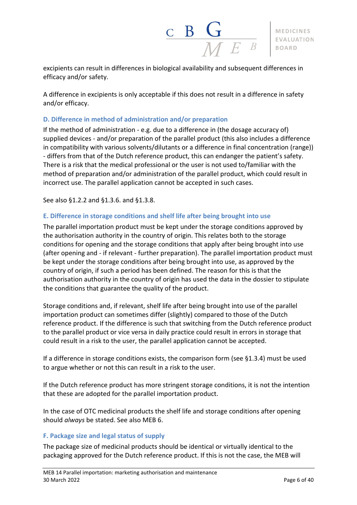excipients can result in differences in biological availability and subsequent differences in efficacy and/or safety.

A difference in excipients is only acceptable if this does not result in a difference in safety and/or efficacy.

#### <span id="page-5-0"></span>**D. Difference in method of administration and/or preparation**

If the method of administration - e.g. due to a difference in (the dosage accuracy of) supplied devices - and/or preparation of the parallel product (this also includes a difference in compatibility with various solvents/dilutants or a difference in final concentration (range)) - differs from that of the Dutch reference product, this can endanger the patient's safety. There is a risk that the medical professional or the user is not used to/familiar with the method of preparation and/or administration of the parallel product, which could result in incorrect use. The parallel application cannot be accepted in such cases.

<span id="page-5-1"></span>See also §1.2.2 and §1.3.6. and §1.3.8.

#### **E. Difference in storage conditions and shelf life after being brought into use**

The parallel importation product must be kept under the storage conditions approved by the authorisation authority in the country of origin. This relates both to the storage conditions for opening and the storage conditions that apply after being brought into use (after opening and - if relevant - further preparation). The parallel importation product must be kept under the storage conditions after being brought into use, as approved by the country of origin, if such a period has been defined. The reason for this is that the authorisation authority in the country of origin has used the data in the dossier to stipulate the conditions that guarantee the quality of the product.

Storage conditions and, if relevant, shelf life after being brought into use of the parallel importation product can sometimes differ (slightly) compared to those of the Dutch reference product. If the difference is such that switching from the Dutch reference product to the parallel product or vice versa in daily practice could result in errors in storage that could result in a risk to the user, the parallel application cannot be accepted.

If a difference in storage conditions exists, the comparison form (see §1.3.4) must be used to argue whether or not this can result in a risk to the user.

If the Dutch reference product has more stringent storage conditions, it is not the intention that these are adopted for the parallel importation product.

In the case of OTC medicinal products the shelf life and storage conditions after opening should *always* be stated. See also MEB 6.

#### <span id="page-5-2"></span>**F. Package size and legal status of supply**

The package size of medicinal products should be identical or virtually identical to the packaging approved for the Dutch reference product. If this is not the case, the MEB will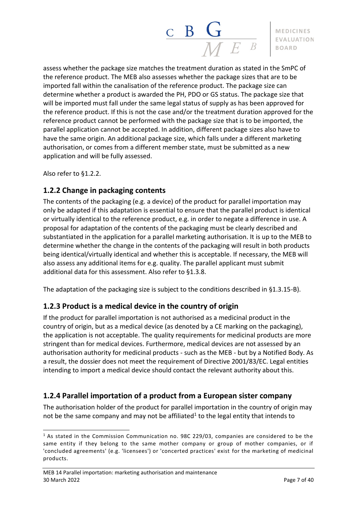# $\frac{\mathbf{c}}{\mathbf{B}} \frac{\mathbf{G}}{\mathbf{M} E}$

#### **MEDICINES EVALUATION BOARD**

assess whether the package size matches the treatment duration as stated in the SmPC of the reference product. The MEB also assesses whether the package sizes that are to be imported fall within the canalisation of the reference product. The package size can determine whether a product is awarded the PH, PDO or GS status. The package size that will be imported must fall under the same legal status of supply as has been approved for the reference product. If this is not the case and/or the treatment duration approved for the reference product cannot be performed with the package size that is to be imported, the parallel application cannot be accepted. In addition, different package sizes also have to have the same origin. An additional package size, which falls under a different marketing authorisation, or comes from a different member state, must be submitted as a new application and will be fully assessed.

Also refer to §1.2.2.

## <span id="page-6-0"></span>**1.2.2 Change in packaging contents**

The contents of the packaging (e.g. a device) of the product for parallel importation may only be adapted if this adaptation is essential to ensure that the parallel product is identical or virtually identical to the reference product, e.g. in order to negate a difference in use. A proposal for adaptation of the contents of the packaging must be clearly described and substantiated in the application for a parallel marketing authorisation. It is up to the MEB to determine whether the change in the contents of the packaging will result in both products being identical/virtually identical and whether this is acceptable. If necessary, the MEB will also assess any additional items for e.g. quality. The parallel applicant must submit additional data for this assessment. Also refer to §1.3.8.

<span id="page-6-1"></span>The adaptation of the packaging size is subject to the conditions described in §1.3.15-B).

## **1.2.3 Product is a medical device in the country of origin**

If the product for parallel importation is not authorised as a medicinal product in the country of origin, but as a medical device (as denoted by a CE marking on the packaging), the application is not acceptable. The quality requirements for medicinal products are more stringent than for medical devices. Furthermore, medical devices are not assessed by an authorisation authority for medicinal products - such as the MEB - but by a Notified Body. As a result, the dossier does not meet the requirement of Directive 2001/83/EC. Legal entities intending to import a medical device should contact the relevant authority about this.

## <span id="page-6-2"></span>**1.2.4 Parallel importation of a product from a European sister company**

The authorisation holder of the product for parallel importation in the country of origin may not be the same company and may not be affiliated<sup>1</sup> to the legal entity that intends to

 $1$  As stated in the Commission Communication no. 98C 229/03, companies are considered to be the same entity if they belong to the same mother company or group of mother companies, or if 'concluded agreements' (e.g. 'licensees') or 'concerted practices' exist for the marketing of medicinal products.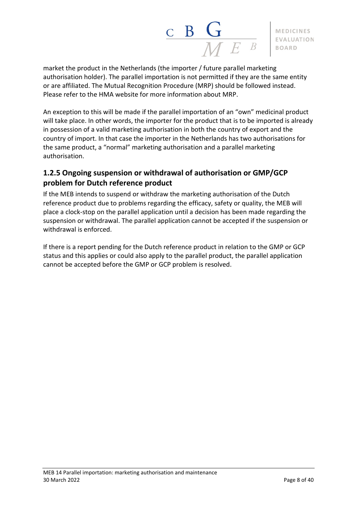

market the product in the Netherlands (the importer / future parallel marketing authorisation holder). The parallel importation is not permitted if they are the same entity or are affiliated. The Mutual Recognition Procedure (MRP) should be followed instead. Please refer to the HMA website for more information about MRP.

An exception to this will be made if the parallel importation of an "own" medicinal product will take place. In other words, the importer for the product that is to be imported is already in possession of a valid marketing authorisation in both the country of export and the country of import. In that case the importer in the Netherlands has two authorisations for the same product, a "normal" marketing authorisation and a parallel marketing authorisation.

# <span id="page-7-0"></span>**1.2.5 Ongoing suspension or withdrawal of authorisation or GMP/GCP problem for Dutch reference product**

If the MEB intends to suspend or withdraw the marketing authorisation of the Dutch reference product due to problems regarding the efficacy, safety or quality, the MEB will place a clock-stop on the parallel application until a decision has been made regarding the suspension or withdrawal. The parallel application cannot be accepted if the suspension or withdrawal is enforced.

If there is a report pending for the Dutch reference product in relation to the GMP or GCP status and this applies or could also apply to the parallel product, the parallel application cannot be accepted before the GMP or GCP problem is resolved.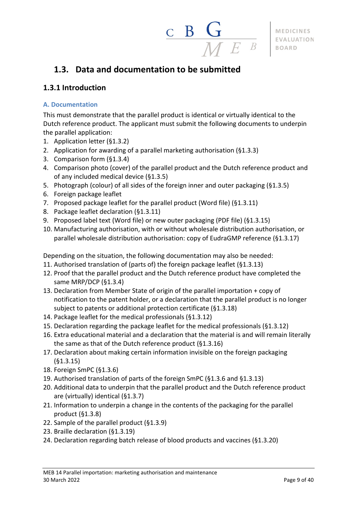

# <span id="page-8-0"></span>**1.3. Data and documentation to be submitted**

## <span id="page-8-1"></span>**1.3.1 Introduction**

#### <span id="page-8-2"></span>**A. Documentation**

This must demonstrate that the parallel product is identical or virtually identical to the Dutch reference product. The applicant must submit the following documents to underpin the parallel application:

- 1. Application letter (§1.3.2)
- 2. Application for awarding of a parallel marketing authorisation (§1.3.3)
- 3. Comparison form (§1.3.4)
- 4. Comparison photo (cover) of the parallel product and the Dutch reference product and of any included medical device (§1.3.5)
- 5. Photograph (colour) of all sides of the foreign inner and outer packaging (§1.3.5)
- 6. Foreign package leaflet
- 7. Proposed package leaflet for the parallel product (Word file) (§1.3.11)
- 8. Package leaflet declaration (§1.3.11)
- 9. Proposed label text (Word file) or new outer packaging (PDF file) (§1.3.15)
- 10. Manufacturing authorisation, with or without wholesale distribution authorisation, or parallel wholesale distribution authorisation: copy of EudraGMP reference (§1.3.17)

Depending on the situation, the following documentation may also be needed:

- 11. Authorised translation of (parts of) the foreign package leaflet (§1.3.13)
- 12. Proof that the parallel product and the Dutch reference product have completed the same MRP/DCP (§1.3.4)
- 13. Declaration from Member State of origin of the parallel importation + copy of notification to the patent holder, or a declaration that the parallel product is no longer subject to patents or additional protection certificate (§1.3.18)
- 14. Package leaflet for the medical professionals (§1.3.12)
- 15. Declaration regarding the package leaflet for the medical professionals (§1.3.12)
- 16. Extra educational material and a declaration that the material is and will remain literally the same as that of the Dutch reference product (§1.3.16)
- 17. Declaration about making certain information invisible on the foreign packaging (§1.3.15)
- 18. Foreign SmPC (§1.3.6)
- 19. Authorised translation of parts of the foreign SmPC (§1.3.6 and §1.3.13)
- 20. Additional data to underpin that the parallel product and the Dutch reference product are (virtually) identical (§1.3.7)
- 21. Information to underpin a change in the contents of the packaging for the parallel product (§1.3.8)
- 22. Sample of the parallel product (§1.3.9)
- 23. Braille declaration (§1.3.19)
- 24. Declaration regarding batch release of blood products and vaccines (§1.3.20)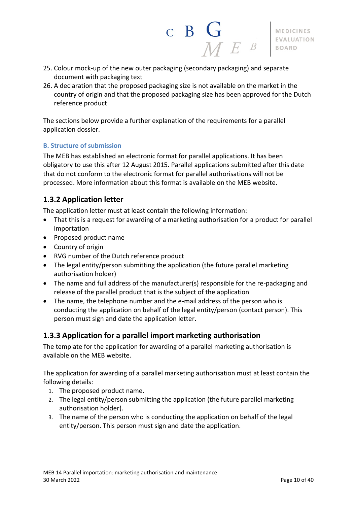- 25. Colour mock-up of the new outer packaging (secondary packaging) and separate document with packaging text
- 26. A declaration that the proposed packaging size is not available on the market in the country of origin and that the proposed packaging size has been approved for the Dutch reference product

The sections below provide a further explanation of the requirements for a parallel application dossier.

#### <span id="page-9-0"></span>**B. Structure of submission**

The MEB has established an electronic format for parallel applications. It has been obligatory to use this after 12 August 2015. Parallel applications submitted after this date that do not conform to the electronic format for parallel authorisations will not be processed. More information about this format is available on the MEB website.

#### <span id="page-9-1"></span>**1.3.2 Application letter**

The application letter must at least contain the following information:

- That this is a request for awarding of a marketing authorisation for a product for parallel importation
- Proposed product name
- Country of origin
- RVG number of the Dutch reference product
- The legal entity/person submitting the application (the future parallel marketing authorisation holder)
- The name and full address of the manufacturer(s) responsible for the re-packaging and release of the parallel product that is the subject of the application
- The name, the telephone number and the e-mail address of the person who is conducting the application on behalf of the legal entity/person (contact person). This person must sign and date the application letter.

#### <span id="page-9-2"></span>**1.3.3 Application for a parallel import marketing authorisation**

The template for the application for awarding of a parallel marketing authorisation is available on the MEB website.

The application for awarding of a parallel marketing authorisation must at least contain the following details:

- 1. The proposed product name.
- 2. The legal entity/person submitting the application (the future parallel marketing authorisation holder).
- 3. The name of the person who is conducting the application on behalf of the legal entity/person. This person must sign and date the application.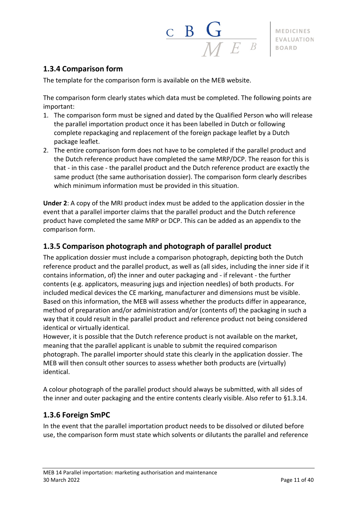### <span id="page-10-0"></span>**1.3.4 Comparison form**

The template for the comparison form is available on the MEB website.

The comparison form clearly states which data must be completed. The following points are important:

 $\frac{\mathbf{C}}{\mathbf{B}} \mathbf{G}$ 

- 1. The comparison form must be signed and dated by the Qualified Person who will release the parallel importation product once it has been labelled in Dutch or following complete repackaging and replacement of the foreign package leaflet by a Dutch package leaflet.
- 2. The entire comparison form does not have to be completed if the parallel product and the Dutch reference product have completed the same MRP/DCP. The reason for this is that - in this case - the parallel product and the Dutch reference product are exactly the same product (the same authorisation dossier). The comparison form clearly describes which minimum information must be provided in this situation.

**Under 2**: A copy of the MRI product index must be added to the application dossier in the event that a parallel importer claims that the parallel product and the Dutch reference product have completed the same MRP or DCP. This can be added as an appendix to the comparison form.

#### <span id="page-10-1"></span>**1.3.5 Comparison photograph and photograph of parallel product**

The application dossier must include a comparison photograph, depicting both the Dutch reference product and the parallel product, as well as (all sides, including the inner side if it contains information, of) the inner and outer packaging and - if relevant - the further contents (e.g. applicators, measuring jugs and injection needles) of both products. For included medical devices the CE marking, manufacturer and dimensions must be visible. Based on this information, the MEB will assess whether the products differ in appearance, method of preparation and/or administration and/or (contents of) the packaging in such a way that it could result in the parallel product and reference product not being considered identical or virtually identical.

However, it is possible that the Dutch reference product is not available on the market, meaning that the parallel applicant is unable to submit the required comparison photograph. The parallel importer should state this clearly in the application dossier. The MEB will then consult other sources to assess whether both products are (virtually) identical.

A colour photograph of the parallel product should always be submitted, with all sides of the inner and outer packaging and the entire contents clearly visible. Also refer to §1.3.14.

#### <span id="page-10-2"></span>**1.3.6 Foreign SmPC**

In the event that the parallel importation product needs to be dissolved or diluted before use, the comparison form must state which solvents or dilutants the parallel and reference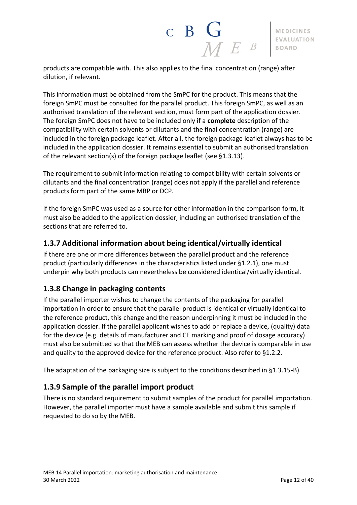products are compatible with. This also applies to the final concentration (range) after dilution, if relevant.

This information must be obtained from the SmPC for the product. This means that the foreign SmPC must be consulted for the parallel product. This foreign SmPC, as well as an authorised translation of the relevant section, must form part of the application dossier. The foreign SmPC does not have to be included only if a **complete** description of the compatibility with certain solvents or dilutants and the final concentration (range) are included in the foreign package leaflet. After all, the foreign package leaflet always has to be included in the application dossier. It remains essential to submit an authorised translation of the relevant section(s) of the foreign package leaflet (see §1.3.13).

The requirement to submit information relating to compatibility with certain solvents or dilutants and the final concentration (range) does not apply if the parallel and reference products form part of the same MRP or DCP.

If the foreign SmPC was used as a source for other information in the comparison form, it must also be added to the application dossier, including an authorised translation of the sections that are referred to.

## <span id="page-11-0"></span>**1.3.7 Additional information about being identical/virtually identical**

If there are one or more differences between the parallel product and the reference product (particularly differences in the characteristics listed under §1.2.1), one must underpin why both products can nevertheless be considered identical/virtually identical.

## <span id="page-11-1"></span>**1.3.8 Change in packaging contents**

If the parallel importer wishes to change the contents of the packaging for parallel importation in order to ensure that the parallel product is identical or virtually identical to the reference product, this change and the reason underpinning it must be included in the application dossier. If the parallel applicant wishes to add or replace a device, (quality) data for the device (e.g. details of manufacturer and CE marking and proof of dosage accuracy) must also be submitted so that the MEB can assess whether the device is comparable in use and quality to the approved device for the reference product. Also refer to §1.2.2.

The adaptation of the packaging size is subject to the conditions described in §1.3.15-B).

#### <span id="page-11-2"></span>**1.3.9 Sample of the parallel import product**

There is no standard requirement to submit samples of the product for parallel importation. However, the parallel importer must have a sample available and submit this sample if requested to do so by the MEB.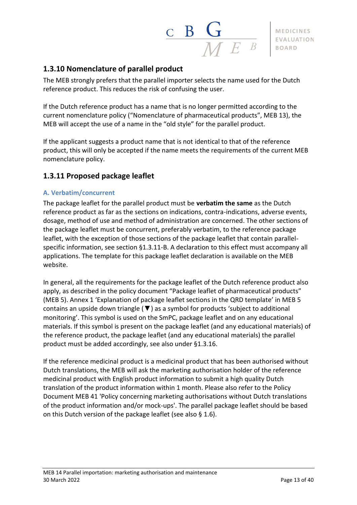

### <span id="page-12-0"></span>**1.3.10 Nomenclature of parallel product**

The MEB strongly prefers that the parallel importer selects the name used for the Dutch reference product. This reduces the risk of confusing the user.

If the Dutch reference product has a name that is no longer permitted according to the current nomenclature policy ("Nomenclature of pharmaceutical products", MEB 13), the MEB will accept the use of a name in the "old style" for the parallel product.

If the applicant suggests a product name that is not identical to that of the reference product, this will only be accepted if the name meets the requirements of the current MEB nomenclature policy.

#### <span id="page-12-1"></span>**1.3.11 Proposed package leaflet**

#### <span id="page-12-2"></span>**A. Verbatim/concurrent**

The package leaflet for the parallel product must be **verbatim the same** as the Dutch reference product as far as the sections on indications, contra-indications, adverse events, dosage, method of use and method of administration are concerned. The other sections of the package leaflet must be concurrent, preferably verbatim, to the reference package leaflet, with the exception of those sections of the package leaflet that contain parallelspecific information, see section §1.3.11-B. A declaration to this effect must accompany all applications. The template for this package leaflet declaration is available on the MEB website.

In general, all the requirements for the package leaflet of the Dutch reference product also apply, as described in the policy document "Package leaflet of pharmaceutical products" (MEB 5). Annex 1 'Explanation of package leaflet sections in the QRD template' in MEB 5 contains an upside down triangle ( $\Psi$ ) as a symbol for products 'subject to additional monitoring'. This symbol is used on the SmPC, package leaflet and on any educational materials. If this symbol is present on the package leaflet (and any educational materials) of the reference product, the package leaflet (and any educational materials) the parallel product must be added accordingly, see also under §1.3.16.

If the reference medicinal product is a medicinal product that has been authorised without Dutch translations, the MEB will ask the marketing authorisation holder of the reference medicinal product with English product information to submit a high quality Dutch translation of the product information within 1 month. Please also refer to the Policy Document MEB 41 'Policy concerning marketing authorisations without Dutch translations of the product information and/or mock-ups'. The parallel package leaflet should be based on this Dutch version of the package leaflet (see also § 1.6).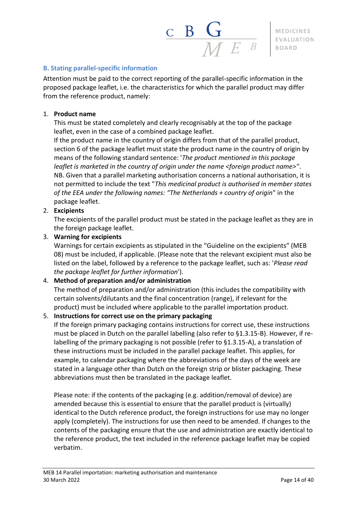$\begin{array}{c|c|c|c} \textbf{B} & \textbf{G} & \textbf{MEDICINES} \ \hline \textbf{M} & \textbf{E} & \textbf{B} & \textbf{B} & \textbf{B} \end{array}$ 

#### <span id="page-13-0"></span>**B. Stating parallel-specific information**

Attention must be paid to the correct reporting of the parallel-specific information in the proposed package leaflet, i.e. the characteristics for which the parallel product may differ from the reference product, namely:

#### 1. **Product name**

This must be stated completely and clearly recognisably at the top of the package leaflet, even in the case of a combined package leaflet.

If the product name in the country of origin differs from that of the parallel product, section 6 of the package leaflet must state the product name in the country of origin by means of the following standard sentence: '*The product mentioned in this package leaflet is marketed in the country of origin under the name <foreign product name>'*'. NB. Given that a parallel marketing authorisation concerns a national authorisation, it is not permitted to include the text "*This medicinal product is authorised in member states of the EEA under the following names: "The Netherlands + country of origin*" in the package leaflet.

#### 2. **Excipients**

The excipients of the parallel product must be stated in the package leaflet as they are in the foreign package leaflet.

#### 3. **Warning for excipients**

Warnings for certain excipients as stipulated in the "Guideline on the excipients" (MEB 08) must be included, if applicable. (Please note that the relevant excipient must also be listed on the label, followed by a reference to the package leaflet, such as: '*Please read the package leaflet for further information*').

#### 4. **Method of preparation and/or administration**

The method of preparation and/or administration (this includes the compatibility with certain solvents/dilutants and the final concentration (range), if relevant for the product) must be included where applicable to the parallel importation product.

#### 5. **Instructions for correct use on the primary packaging**

If the foreign primary packaging contains instructions for correct use, these instructions must be placed in Dutch on the parallel labelling (also refer to §1.3.15-B). However, if relabelling of the primary packaging is not possible (refer to §1.3.15-A), a translation of these instructions must be included in the parallel package leaflet. This applies, for example, to calendar packaging where the abbreviations of the days of the week are stated in a language other than Dutch on the foreign strip or blister packaging. These abbreviations must then be translated in the package leaflet.

Please note: if the contents of the packaging (e.g. addition/removal of device) are amended because this is essential to ensure that the parallel product is (virtually) identical to the Dutch reference product, the foreign instructions for use may no longer apply (completely). The instructions for use then need to be amended. If changes to the contents of the packaging ensure that the use and administration are exactly identical to the reference product, the text included in the reference package leaflet may be copied verbatim.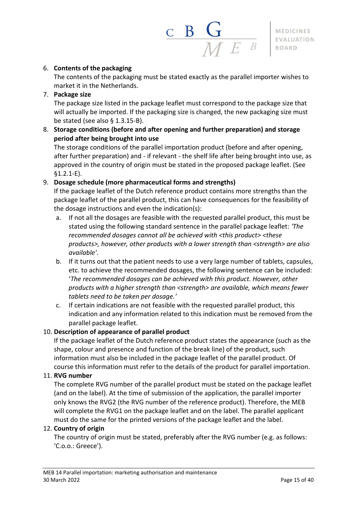

#### 6. **Contents of the packaging**

The contents of the packaging must be stated exactly as the parallel importer wishes to market it in the Netherlands.

7. **Package size**

The package size listed in the package leaflet must correspond to the package size that will actually be imported. If the packaging size is changed, the new packaging size must be stated (see also § 1.3.15-B).

8. **Storage conditions (before and after opening and further preparation) and storage period after being brought into use**

The storage conditions of the parallel importation product (before and after opening, after further preparation) and - if relevant - the shelf life after being brought into use, as approved in the country of origin must be stated in the proposed package leaflet. (See §1.2.1-E).

#### 9. **Dosage schedule (more pharmaceutical forms and strengths)**

If the package leaflet of the Dutch reference product contains more strengths than the package leaflet of the parallel product, this can have consequences for the feasibility of the dosage instructions and even the indication(s):

- a. If not all the dosages are feasible with the requested parallel product, this must be stated using the following standard sentence in the parallel package leaflet: *'The recommended dosages cannot all be achieved with <this product> <these products>, however, other products with a lower strength than <strength> are also available'*.
- b. If it turns out that the patient needs to use a very large number of tablets, capsules, etc. to achieve the recommended dosages, the following sentence can be included: '*The recommended dosages can be achieved with this product. However, other products with a higher strength than <strength> are available, which means fewer tablets need to be taken per dosage.'*
- c. If certain indications are not feasible with the requested parallel product, this indication and any information related to this indication must be removed from the parallel package leaflet.

#### 10. **Description of appearance of parallel product**

If the package leaflet of the Dutch reference product states the appearance (such as the shape, colour and presence and function of the break line) of the product, such information must also be included in the package leaflet of the parallel product. Of course this information must refer to the details of the product for parallel importation.

#### 11. **RVG number**

The complete RVG number of the parallel product must be stated on the package leaflet (and on the label). At the time of submission of the application, the parallel importer only knows the RVG2 (the RVG number of the reference product). Therefore, the MEB will complete the RVG1 on the package leaflet and on the label. The parallel applicant must do the same for the printed versions of the package leaflet and the label.

#### 12. **Country of origin**

The country of origin must be stated, preferably after the RVG number (e.g. as follows: 'C.o.o.: Greece').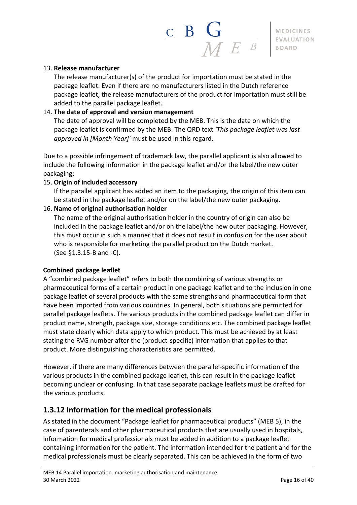$\begin{array}{c|c|c|c} \textbf{C} & \textbf{B} & \textbf{G} \ \hline \textbf{M} & \textbf{E} & \textbf{B} \ \hline \textbf{M} & \textbf{E} & \textbf{B} \end{array}$ 

#### 13. **Release manufacturer**

The release manufacturer(s) of the product for importation must be stated in the package leaflet. Even if there are no manufacturers listed in the Dutch reference package leaflet, the release manufacturers of the product for importation must still be added to the parallel package leaflet.

#### 14. **The date of approval and version management**

The date of approval will be completed by the MEB. This is the date on which the package leaflet is confirmed by the MEB. The QRD text *'This package leaflet was last approved in [Month Year]'* must be used in this regard.

Due to a possible infringement of trademark law, the parallel applicant is also allowed to include the following information in the package leaflet and/or the label/the new outer packaging:

#### 15. **Origin of included accessory**

If the parallel applicant has added an item to the packaging, the origin of this item can be stated in the package leaflet and/or on the label/the new outer packaging.

#### 16. **Name of original authorisation holder**

The name of the original authorisation holder in the country of origin can also be included in the package leaflet and/or on the label/the new outer packaging. However, this must occur in such a manner that it does not result in confusion for the user about who is responsible for marketing the parallel product on the Dutch market. (See §1.3.15-B and -C).

#### **Combined package leaflet**

A "combined package leaflet" refers to both the combining of various strengths or pharmaceutical forms of a certain product in one package leaflet and to the inclusion in one package leaflet of several products with the same strengths and pharmaceutical form that have been imported from various countries. In general, both situations are permitted for parallel package leaflets. The various products in the combined package leaflet can differ in product name, strength, package size, storage conditions etc. The combined package leaflet must state clearly which data apply to which product. This must be achieved by at least stating the RVG number after the (product-specific) information that applies to that product. More distinguishing characteristics are permitted.

However, if there are many differences between the parallel-specific information of the various products in the combined package leaflet, this can result in the package leaflet becoming unclear or confusing. In that case separate package leaflets must be drafted for the various products.

#### <span id="page-15-0"></span>**1.3.12 Information for the medical professionals**

As stated in the document "Package leaflet for pharmaceutical products" (MEB 5), in the case of parenterals and other pharmaceutical products that are usually used in hospitals, information for medical professionals must be added in addition to a package leaflet containing information for the patient. The information intended for the patient and for the medical professionals must be clearly separated. This can be achieved in the form of two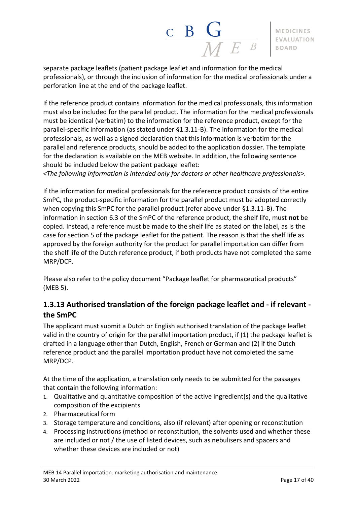

separate package leaflets (patient package leaflet and information for the medical professionals), or through the inclusion of information for the medical professionals under a perforation line at the end of the package leaflet.

If the reference product contains information for the medical professionals, this information must also be included for the parallel product. The information for the medical professionals must be identical (verbatim) to the information for the reference product, except for the parallel-specific information (as stated under §1.3.11-B). The information for the medical professionals, as well as a signed declaration that this information is verbatim for the parallel and reference products, should be added to the application dossier. The template for the declaration is available on the MEB website. In addition, the following sentence should be included below the patient package leaflet:

*<The following information is intended only for doctors or other healthcare professionals>.*

If the information for medical professionals for the reference product consists of the entire SmPC, the product-specific information for the parallel product must be adopted correctly when copying this SmPC for the parallel product (refer above under §1.3.11-B). The information in section 6.3 of the SmPC of the reference product, the shelf life, must **not** be copied. Instead, a reference must be made to the shelf life as stated on the label, as is the case for section 5 of the package leaflet for the patient. The reason is that the shelf life as approved by the foreign authority for the product for parallel importation can differ from the shelf life of the Dutch reference product, if both products have not completed the same MRP/DCP.

Please also refer to the policy document "Package leaflet for pharmaceutical products" (MEB 5).

## <span id="page-16-0"></span>**1.3.13 Authorised translation of the foreign package leaflet and - if relevant the SmPC**

The applicant must submit a Dutch or English authorised translation of the package leaflet valid in the country of origin for the parallel importation product, if (1) the package leaflet is drafted in a language other than Dutch, English, French or German and (2) if the Dutch reference product and the parallel importation product have not completed the same MRP/DCP.

At the time of the application, a translation only needs to be submitted for the passages that contain the following information:

- 1. Qualitative and quantitative composition of the active ingredient(s) and the qualitative composition of the excipients
- 2. Pharmaceutical form
- 3. Storage temperature and conditions, also (if relevant) after opening or reconstitution
- 4. Processing instructions (method or reconstitution, the solvents used and whether these are included or not / the use of listed devices, such as nebulisers and spacers and whether these devices are included or not)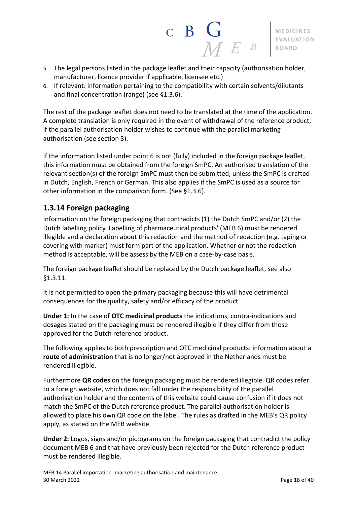

- 5. The legal persons listed in the package leaflet and their capacity (authorisation holder, manufacturer, licence provider if applicable, licensee etc.)
- 6. If relevant: information pertaining to the compatibility with certain solvents/dilutants and final concentration (range) (see §1.3.6).

The rest of the package leaflet does not need to be translated at the time of the application. A complete translation is only required in the event of withdrawal of the reference product, if the parallel authorisation holder wishes to continue with the parallel marketing authorisation (see section 3).

If the information listed under point 6 is not (fully) included in the foreign package leaflet, this information must be obtained from the foreign SmPC. An authorised translation of the relevant section(s) of the foreign SmPC must then be submitted, unless the SmPC is drafted in Dutch, English, French or German. This also applies if the SmPC is used as a source for other information in the comparison form. (See §1.3.6).

### <span id="page-17-0"></span>**1.3.14 Foreign packaging**

Information on the foreign packaging that contradicts (1) the Dutch SmPC and/or (2) the Dutch labelling policy 'Labelling of pharmaceutical products' (MEB 6) must be rendered illegible and a declaration about this redaction and the method of redaction (e.g. taping or covering with marker) must form part of the application. Whether or not the redaction method is acceptable, will be assess by the MEB on a case-by-case basis.

The foreign package leaflet should be replaced by the Dutch package leaflet, see also §1.3.11.

It is not permitted to open the primary packaging because this will have detrimental consequences for the quality, safety and/or efficacy of the product.

**Under 1:** In the case of **OTC medicinal products** the indications, contra-indications and dosages stated on the packaging must be rendered illegible if they differ from those approved for the Dutch reference product.

The following applies to both prescription and OTC medicinal products: information about a **route of administration** that is no longer/not approved in the Netherlands must be rendered illegible.

Furthermore **QR codes** on the foreign packaging must be rendered illegible. QR codes refer to a foreign website, which does not fall under the responsibility of the parallel authorisation holder and the contents of this website could cause confusion if it does not match the SmPC of the Dutch reference product. The parallel authorisation holder is allowed to place his own QR code on the label. The rules as drafted in the MEB's QR policy apply, as stated on the MEB website.

**Under 2:** Logos, signs and/or pictograms on the foreign packaging that contradict the policy document MEB 6 and that have previously been rejected for the Dutch reference product must be rendered illegible.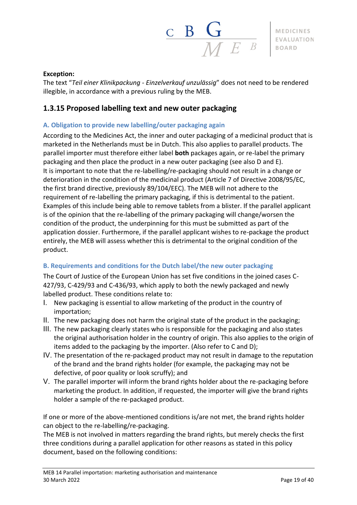

#### **Exception:**

The text "*Teil einer Klinikpackung - Einzelverkauf unzulӓssig*" does not need to be rendered illegible, in accordance with a previous ruling by the MEB.

### <span id="page-18-0"></span>**1.3.15 Proposed labelling text and new outer packaging**

#### <span id="page-18-1"></span>**A. Obligation to provide new labelling/outer packaging again**

According to the Medicines Act, the inner and outer packaging of a medicinal product that is marketed in the Netherlands must be in Dutch. This also applies to parallel products. The parallel importer must therefore either label **both** packages again, or re-label the primary packaging and then place the product in a new outer packaging (see also D and E). It is important to note that the re-labelling/re-packaging should not result in a change or deterioration in the condition of the medicinal product (Article 7 of Directive 2008/95/EC, the first brand directive, previously 89/104/EEC). The MEB will not adhere to the requirement of re-labelling the primary packaging, if this is detrimental to the patient. Examples of this include being able to remove tablets from a blister. If the parallel applicant is of the opinion that the re-labelling of the primary packaging will change/worsen the condition of the product, the underpinning for this must be submitted as part of the application dossier. Furthermore, if the parallel applicant wishes to re-package the product entirely, the MEB will assess whether this is detrimental to the original condition of the product.

#### <span id="page-18-2"></span>**B. Requirements and conditions for the Dutch label/the new outer packaging**

The Court of Justice of the European Union has set five conditions in the joined cases C-427/93, C-429/93 and C-436/93, which apply to both the newly packaged and newly labelled product. These conditions relate to:

- I. New packaging is essential to allow marketing of the product in the country of importation;
- II. The new packaging does not harm the original state of the product in the packaging;
- III. The new packaging clearly states who is responsible for the packaging and also states the original authorisation holder in the country of origin. This also applies to the origin of items added to the packaging by the importer. (Also refer to C and D);
- IV. The presentation of the re-packaged product may not result in damage to the reputation of the brand and the brand rights holder (for example, the packaging may not be defective, of poor quality or look scruffy); and
- V. The parallel importer will inform the brand rights holder about the re-packaging before marketing the product. In addition, if requested, the importer will give the brand rights holder a sample of the re-packaged product.

If one or more of the above-mentioned conditions is/are not met, the brand rights holder can object to the re-labelling/re-packaging.

The MEB is not involved in matters regarding the brand rights, but merely checks the first three conditions during a parallel application for other reasons as stated in this policy document, based on the following conditions: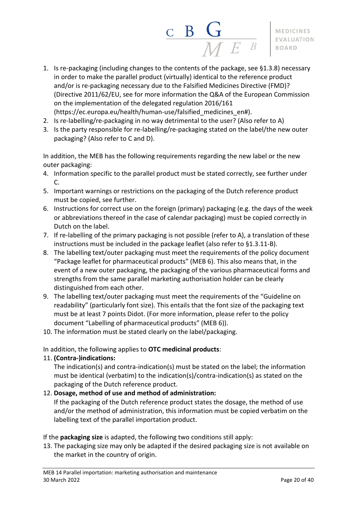

- 1. Is re-packaging (including changes to the contents of the package, see §1.3.8) necessary in order to make the parallel product (virtually) identical to the reference product and/or is re-packaging necessary due to the Falsified Medicines Directive (FMD)? (Directive 2011/62/EU, see for more information the Q&A of the European Commission on the implementation of the delegated regulation 2016/161 (https://ec.europa.eu/health/human-use/falsified\_medicines\_en#).
- 2. Is re-labelling/re-packaging in no way detrimental to the user? (Also refer to A)
- 3. Is the party responsible for re-labelling/re-packaging stated on the label/the new outer packaging? (Also refer to C and D).

In addition, the MEB has the following requirements regarding the new label or the new outer packaging:

- 4. Information specific to the parallel product must be stated correctly, see further under C.
- 5. Important warnings or restrictions on the packaging of the Dutch reference product must be copied, see further.
- 6. Instructions for correct use on the foreign (primary) packaging (e.g. the days of the week or abbreviations thereof in the case of calendar packaging) must be copied correctly in Dutch on the label.
- 7. If re-labelling of the primary packaging is not possible (refer to A), a translation of these instructions must be included in the package leaflet (also refer to §1.3.11-B).
- 8. The labelling text/outer packaging must meet the requirements of the policy document "Package leaflet for pharmaceutical products" (MEB 6). This also means that, in the event of a new outer packaging, the packaging of the various pharmaceutical forms and strengths from the same parallel marketing authorisation holder can be clearly distinguished from each other.
- 9. The labelling text/outer packaging must meet the requirements of the "Guideline on readability" (particularly font size). This entails that the font size of the packaging text must be at least 7 points Didot. (For more information, please refer to the policy document "Labelling of pharmaceutical products" (MEB 6)).
- 10. The information must be stated clearly on the label/packaging.

In addition, the following applies to **OTC medicinal products**:

#### 11. **(Contra-)indications:**

The indication(s) and contra-indication(s) must be stated on the label; the information must be identical (verbatim) to the indication(s)/contra-indication(s) as stated on the packaging of the Dutch reference product.

#### 12. **Dosage, method of use and method of administration:**

If the packaging of the Dutch reference product states the dosage, the method of use and/or the method of administration, this information must be copied verbatim on the labelling text of the parallel importation product.

If the **packaging size** is adapted, the following two conditions still apply:

13. The packaging size may only be adapted if the desired packaging size is not available on the market in the country of origin.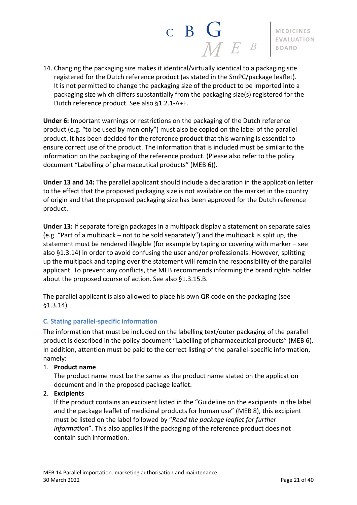

14. Changing the packaging size makes it identical/virtually identical to a packaging site registered for the Dutch reference product (as stated in the SmPC/package leaflet). It is not permitted to change the packaging size of the product to be imported into a packaging size which differs substantially from the packaging size(s) registered for the Dutch reference product. See also §1.2.1-A+F.

**Under 6:** Important warnings or restrictions on the packaging of the Dutch reference product (e.g. "to be used by men only") must also be copied on the label of the parallel product. It has been decided for the reference product that this warning is essential to ensure correct use of the product. The information that is included must be similar to the information on the packaging of the reference product. (Please also refer to the policy document "Labelling of pharmaceutical products" (MEB 6)).

**Under 13 and 14:** The parallel applicant should include a declaration in the application letter to the effect that the proposed packaging size is not available on the market in the country of origin and that the proposed packaging size has been approved for the Dutch reference product.

**Under 13:** If separate foreign packages in a multipack display a statement on separate sales (e.g. "Part of a multipack – not to be sold separately") and the multipack is split up, the statement must be rendered illegible (for example by taping or covering with marker – see also §1.3.14) in order to avoid confusing the user and/or professionals. However, splitting up the multipack and taping over the statement will remain the responsibility of the parallel applicant. To prevent any conflicts, the MEB recommends informing the brand rights holder about the proposed course of action. See also §1.3.15.B.

The parallel applicant is also allowed to place his own QR code on the packaging (see §1.3.14).

#### <span id="page-20-0"></span>**C. Stating parallel-specific information**

The information that must be included on the labelling text/outer packaging of the parallel product is described in the policy document "Labelling of pharmaceutical products" (MEB 6). In addition, attention must be paid to the correct listing of the parallel-specific information, namely:

1. **Product name**

The product name must be the same as the product name stated on the application document and in the proposed package leaflet.

#### 2. **Excipients**

If the product contains an excipient listed in the "Guideline on the excipients in the label and the package leaflet of medicinal products for human use" (MEB 8), this excipient must be listed on the label followed by "*Read the package leaflet for further information*". This also applies if the packaging of the reference product does not contain such information.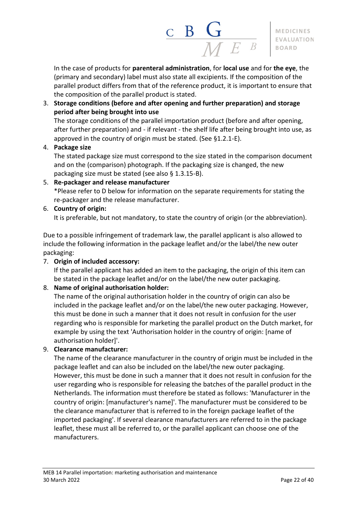

In the case of products for **parenteral administration**, for **local use** and for **the eye**, the (primary and secondary) label must also state all excipients. If the composition of the parallel product differs from that of the reference product, it is important to ensure that the composition of the parallel product is stated.

#### 3. **Storage conditions (before and after opening and further preparation) and storage period after being brought into use**

The storage conditions of the parallel importation product (before and after opening, after further preparation) and - if relevant - the shelf life after being brought into use, as approved in the country of origin must be stated. (See §1.2.1-E).

#### 4. **Package size**

The stated package size must correspond to the size stated in the comparison document and on the (comparison) photograph. If the packaging size is changed, the new packaging size must be stated (see also § 1.3.15-B).

#### 5. **Re-packager and release manufacturer**

\*Please refer to D below for information on the separate requirements for stating the re-packager and the release manufacturer.

#### 6. **Country of origin:**

It is preferable, but not mandatory, to state the country of origin (or the abbreviation).

Due to a possible infringement of trademark law, the parallel applicant is also allowed to include the following information in the package leaflet and/or the label/the new outer packaging:

#### 7. **Origin of included accessory:**

If the parallel applicant has added an item to the packaging, the origin of this item can be stated in the package leaflet and/or on the label/the new outer packaging.

#### 8. **Name of original authorisation holder:**

The name of the original authorisation holder in the country of origin can also be included in the package leaflet and/or on the label/the new outer packaging. However, this must be done in such a manner that it does not result in confusion for the user regarding who is responsible for marketing the parallel product on the Dutch market, for example by using the text 'Authorisation holder in the country of origin: [name of authorisation holder]'.

#### 9. **Clearance manufacturer:**

The name of the clearance manufacturer in the country of origin must be included in the package leaflet and can also be included on the label/the new outer packaging. However, this must be done in such a manner that it does not result in confusion for the user regarding who is responsible for releasing the batches of the parallel product in the Netherlands. The information must therefore be stated as follows: 'Manufacturer in the country of origin: [manufacturer's name]'. The manufacturer must be considered to be the clearance manufacturer that is referred to in the foreign package leaflet of the imported packaging'. If several clearance manufacturers are referred to in the package leaflet, these must all be referred to, or the parallel applicant can choose one of the manufacturers.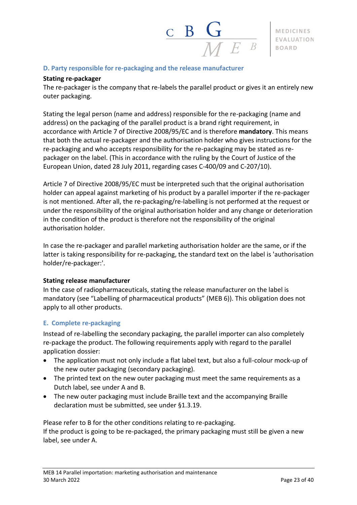#### <span id="page-22-0"></span>**D. Party responsible for re-packaging and the release manufacturer**

#### **Stating re-packager**

The re-packager is the company that re-labels the parallel product or gives it an entirely new outer packaging.

Stating the legal person (name and address) responsible for the re-packaging (name and address) on the packaging of the parallel product is a brand right requirement, in accordance with Article 7 of Directive 2008/95/EC and is therefore **mandatory**. This means that both the actual re-packager and the authorisation holder who gives instructions for the re-packaging and who accepts responsibility for the re-packaging may be stated as repackager on the label. (This in accordance with the ruling by the Court of Justice of the European Union, dated 28 July 2011, regarding cases C-400/09 and C-207/10).

Article 7 of Directive 2008/95/EC must be interpreted such that the original authorisation holder can appeal against marketing of his product by a parallel importer if the re-packager is not mentioned. After all, the re-packaging/re-labelling is not performed at the request or under the responsibility of the original authorisation holder and any change or deterioration in the condition of the product is therefore not the responsibility of the original authorisation holder.

In case the re-packager and parallel marketing authorisation holder are the same, or if the latter is taking responsibility for re-packaging, the standard text on the label is 'authorisation holder/re-packager:'.

#### **Stating release manufacturer**

In the case of radiopharmaceuticals, stating the release manufacturer on the label is mandatory (see "Labelling of pharmaceutical products" (MEB 6)). This obligation does not apply to all other products.

#### <span id="page-22-1"></span>**E. Complete re-packaging**

Instead of re-labelling the secondary packaging, the parallel importer can also completely re-package the product. The following requirements apply with regard to the parallel application dossier:

- The application must not only include a flat label text, but also a full-colour mock-up of the new outer packaging (secondary packaging).
- The printed text on the new outer packaging must meet the same requirements as a Dutch label, see under A and B.
- The new outer packaging must include Braille text and the accompanying Braille declaration must be submitted, see under §1.3.19.

Please refer to B for the other conditions relating to re-packaging. If the product is going to be re-packaged, the primary packaging must still be given a new label, see under A.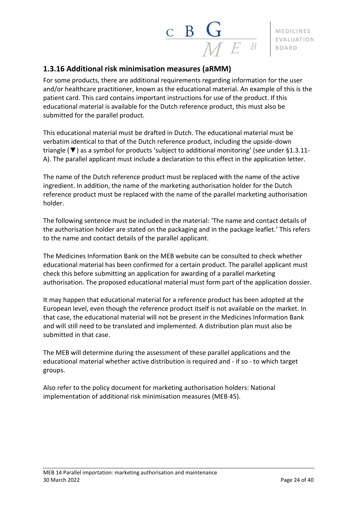# $\frac{\mathbf{C}}{\mathbf{B}} \frac{\mathbf{G}}{\mathbf{M}}$

**MEDICINES** EVALUATION **BOARD** 

## <span id="page-23-0"></span>**1.3.16 Additional risk minimisation measures (aRMM)**

For some products, there are additional requirements regarding information for the user and/or healthcare practitioner, known as the educational material. An example of this is the patient card. This card contains important instructions for use of the product. If this educational material is available for the Dutch reference product, this must also be submitted for the parallel product.

This educational material must be drafted in Dutch. The educational material must be verbatim identical to that of the Dutch reference product, including the upside-down triangle (▼) as a symbol for products 'subject to additional monitoring' (see under §1.3.11- A). The parallel applicant must include a declaration to this effect in the application letter.

The name of the Dutch reference product must be replaced with the name of the active ingredient. In addition, the name of the marketing authorisation holder for the Dutch reference product must be replaced with the name of the parallel marketing authorisation holder.

The following sentence must be included in the material: 'The name and contact details of the authorisation holder are stated on the packaging and in the package leaflet.' This refers to the name and contact details of the parallel applicant.

The Medicines Information Bank on the MEB website can be consulted to check whether educational material has been confirmed for a certain product. The parallel applicant must check this before submitting an application for awarding of a parallel marketing authorisation. The proposed educational material must form part of the application dossier.

It may happen that educational material for a reference product has been adopted at the European level, even though the reference product itself is not available on the market. In that case, the educational material will not be present in the Medicines Information Bank and will still need to be translated and implemented. A distribution plan must also be submitted in that case.

The MEB will determine during the assessment of these parallel applications and the educational material whether active distribution is required and - if so - to which target groups.

Also refer to the policy document for marketing authorisation holders: National implementation of additional risk minimisation measures (MEB 45).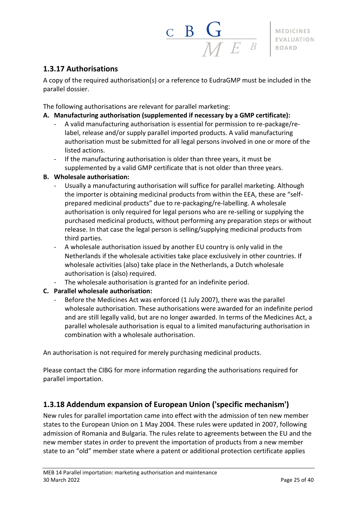$\frac{\mathbf{C}}{\mathbf{B}} \mathbf{G}$ 

# <span id="page-24-0"></span>**1.3.17 Authorisations**

A copy of the required authorisation(s) or a reference to EudraGMP must be included in the parallel dossier.

The following authorisations are relevant for parallel marketing:

#### **A. Manufacturing authorisation (supplemented if necessary by a GMP certificate):**

- A valid manufacturing authorisation is essential for permission to re-package/relabel, release and/or supply parallel imported products. A valid manufacturing authorisation must be submitted for all legal persons involved in one or more of the listed actions.
- If the manufacturing authorisation is older than three years, it must be supplemented by a valid GMP certificate that is not older than three years.

#### **B. Wholesale authorisation:**

- Usually a manufacturing authorisation will suffice for parallel marketing. Although the importer is obtaining medicinal products from within the EEA, these are "selfprepared medicinal products" due to re-packaging/re-labelling. A wholesale authorisation is only required for legal persons who are re-selling or supplying the purchased medicinal products, without performing any preparation steps or without release. In that case the legal person is selling/supplying medicinal products from third parties.
- A wholesale authorisation issued by another EU country is only valid in the Netherlands if the wholesale activities take place exclusively in other countries. If wholesale activities (also) take place in the Netherlands, a Dutch wholesale authorisation is (also) required.
- The wholesale authorisation is granted for an indefinite period.

#### **C. Parallel wholesale authorisation:**

Before the Medicines Act was enforced (1 July 2007), there was the parallel wholesale authorisation. These authorisations were awarded for an indefinite period and are still legally valid, but are no longer awarded. In terms of the Medicines Act, a parallel wholesale authorisation is equal to a limited manufacturing authorisation in combination with a wholesale authorisation.

An authorisation is not required for merely purchasing medicinal products.

Please contact the CIBG for more information regarding the authorisations required for parallel importation.

## <span id="page-24-1"></span>**1.3.18 Addendum expansion of European Union ('specific mechanism')**

New rules for parallel importation came into effect with the admission of ten new member states to the European Union on 1 May 2004. These rules were updated in 2007, following admission of Romania and Bulgaria. The rules relate to agreements between the EU and the new member states in order to prevent the importation of products from a new member state to an "old" member state where a patent or additional protection certificate applies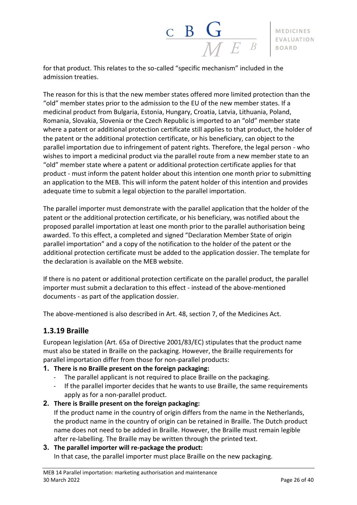

for that product. This relates to the so-called "specific mechanism" included in the admission treaties.

The reason for this is that the new member states offered more limited protection than the "old" member states prior to the admission to the EU of the new member states. If a medicinal product from Bulgaria, Estonia, Hungary, Croatia, Latvia, Lithuania, Poland, Romania, Slovakia, Slovenia or the Czech Republic is imported to an "old" member state where a patent or additional protection certificate still applies to that product, the holder of the patent or the additional protection certificate, or his beneficiary, can object to the parallel importation due to infringement of patent rights. Therefore, the legal person - who wishes to import a medicinal product via the parallel route from a new member state to an "old" member state where a patent or additional protection certificate applies for that product - must inform the patent holder about this intention one month prior to submitting an application to the MEB. This will inform the patent holder of this intention and provides adequate time to submit a legal objection to the parallel importation.

The parallel importer must demonstrate with the parallel application that the holder of the patent or the additional protection certificate, or his beneficiary, was notified about the proposed parallel importation at least one month prior to the parallel authorisation being awarded. To this effect, a completed and signed "Declaration Member State of origin parallel importation" and a copy of the notification to the holder of the patent or the additional protection certificate must be added to the application dossier. The template for the declaration is available on the MEB website.

If there is no patent or additional protection certificate on the parallel product, the parallel importer must submit a declaration to this effect - instead of the above-mentioned documents - as part of the application dossier.

<span id="page-25-0"></span>The above-mentioned is also described in Art. 48, section 7, of the Medicines Act.

#### **1.3.19 Braille**

European legislation (Art. 65a of Directive 2001/83/EC) stipulates that the product name must also be stated in Braille on the packaging. However, the Braille requirements for parallel importation differ from those for non-parallel products:

#### **1. There is no Braille present on the foreign packaging:**

- The parallel applicant is not required to place Braille on the packaging.
- If the parallel importer decides that he wants to use Braille, the same requirements apply as for a non-parallel product.
- **2. There is Braille present on the foreign packaging:**

If the product name in the country of origin differs from the name in the Netherlands, the product name in the country of origin can be retained in Braille. The Dutch product name does not need to be added in Braille. However, the Braille must remain legible after re-labelling. The Braille may be written through the printed text.

#### **3. The parallel importer will re-package the product:**

In that case, the parallel importer must place Braille on the new packaging.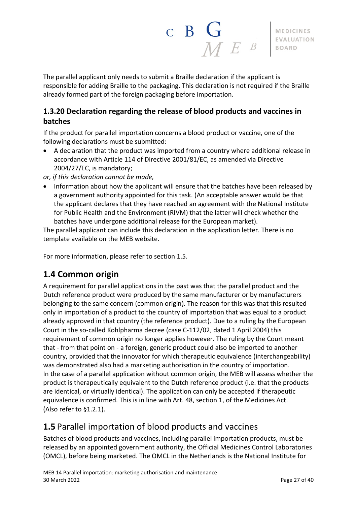

The parallel applicant only needs to submit a Braille declaration if the applicant is responsible for adding Braille to the packaging. This declaration is not required if the Braille already formed part of the foreign packaging before importation.

# <span id="page-26-0"></span>**1.3.20 Declaration regarding the release of blood products and vaccines in batches**

If the product for parallel importation concerns a blood product or vaccine, one of the following declarations must be submitted:

• A declaration that the product was imported from a country where additional release in accordance with Article 114 of Directive 2001/81/EC, as amended via Directive 2004/27/EC, is mandatory;

*or, if this declaration cannot be made,*

• Information about how the applicant will ensure that the batches have been released by a government authority appointed for this task. (An acceptable answer would be that the applicant declares that they have reached an agreement with the National Institute for Public Health and the Environment (RIVM) that the latter will check whether the batches have undergone additional release for the European market).

The parallel applicant can include this declaration in the application letter. There is no template available on the MEB website.

For more information, please refer to section 1.5.

# <span id="page-26-1"></span>**1.4 Common origin**

A requirement for parallel applications in the past was that the parallel product and the Dutch reference product were produced by the same manufacturer or by manufacturers belonging to the same concern (common origin). The reason for this was that this resulted only in importation of a product to the country of importation that was equal to a product already approved in that country (the reference product). Due to a ruling by the European Court in the so-called Kohlpharma decree (case C-112/02, dated 1 April 2004) this requirement of common origin no longer applies however. The ruling by the Court meant that - from that point on - a foreign, generic product could also be imported to another country, provided that the innovator for which therapeutic equivalence (interchangeability) was demonstrated also had a marketing authorisation in the country of importation. In the case of a parallel application without common origin, the MEB will assess whether the product is therapeutically equivalent to the Dutch reference product (i.e. that the products are identical, or virtually identical). The application can only be accepted if therapeutic equivalence is confirmed. This is in line with Art. 48, section 1, of the Medicines Act. (Also refer to §1.2.1).

# <span id="page-26-2"></span>**1.5** Parallel importation of blood products and vaccines

Batches of blood products and vaccines, including parallel importation products, must be released by an appointed government authority, the Official Medicines Control Laboratories (OMCL), before being marketed. The OMCL in the Netherlands is the National Institute for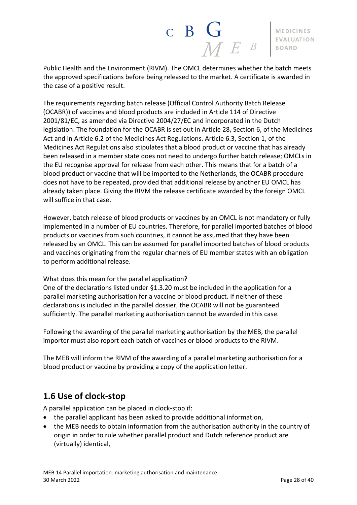

Public Health and the Environment (RIVM). The OMCL determines whether the batch meets the approved specifications before being released to the market. A certificate is awarded in the case of a positive result.

The requirements regarding batch release (Official Control Authority Batch Release (OCABR)) of vaccines and blood products are included in Article 114 of Directive 2001/81/EC, as amended via Directive 2004/27/EC and incorporated in the Dutch legislation. The foundation for the OCABR is set out in Article 28, Section 6, of the Medicines Act and in Article 6.2 of the Medicines Act Regulations. Article 6.3, Section 1, of the Medicines Act Regulations also stipulates that a blood product or vaccine that has already been released in a member state does not need to undergo further batch release; OMCLs in the EU recognise approval for release from each other. This means that for a batch of a blood product or vaccine that will be imported to the Netherlands, the OCABR procedure does not have to be repeated, provided that additional release by another EU OMCL has already taken place. Giving the RIVM the release certificate awarded by the foreign OMCL will suffice in that case.

However, batch release of blood products or vaccines by an OMCL is not mandatory or fully implemented in a number of EU countries. Therefore, for parallel imported batches of blood products or vaccines from such countries, it cannot be assumed that they have been released by an OMCL. This can be assumed for parallel imported batches of blood products and vaccines originating from the regular channels of EU member states with an obligation to perform additional release.

What does this mean for the parallel application?

One of the declarations listed under §1.3.20 must be included in the application for a parallel marketing authorisation for a vaccine or blood product. If neither of these declarations is included in the parallel dossier, the OCABR will not be guaranteed sufficiently. The parallel marketing authorisation cannot be awarded in this case.

Following the awarding of the parallel marketing authorisation by the MEB, the parallel importer must also report each batch of vaccines or blood products to the RIVM.

The MEB will inform the RIVM of the awarding of a parallel marketing authorisation for a blood product or vaccine by providing a copy of the application letter.

# <span id="page-27-0"></span>**1.6 Use of clock-stop**

A parallel application can be placed in clock-stop if:

- the parallel applicant has been asked to provide additional information,
- the MEB needs to obtain information from the authorisation authority in the country of origin in order to rule whether parallel product and Dutch reference product are (virtually) identical,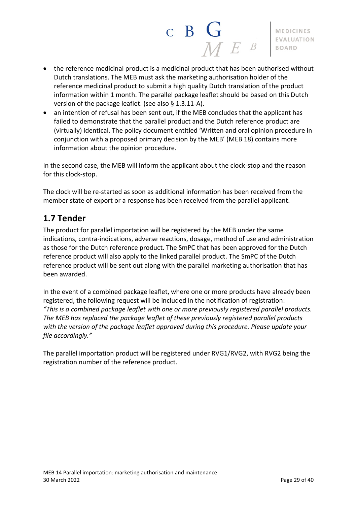$\frac{\mathbf{C}}{\mathbf{B}} \mathbf{G}$ **MEDICINES** EVALUATION **BOARD** 

- the reference medicinal product is a medicinal product that has been authorised without Dutch translations. The MEB must ask the marketing authorisation holder of the reference medicinal product to submit a high quality Dutch translation of the product information within 1 month. The parallel package leaflet should be based on this Dutch version of the package leaflet. (see also § 1.3.11-A).
- an intention of refusal has been sent out, if the MEB concludes that the applicant has failed to demonstrate that the parallel product and the Dutch reference product are (virtually) identical. The policy document entitled 'Written and oral opinion procedure in conjunction with a proposed primary decision by the MEB' (MEB 18) contains more information about the opinion procedure.

In the second case, the MEB will inform the applicant about the clock-stop and the reason for this clock-stop.

The clock will be re-started as soon as additional information has been received from the member state of export or a response has been received from the parallel applicant.

# <span id="page-28-0"></span>**1.7 Tender**

The product for parallel importation will be registered by the MEB under the same indications, contra-indications, adverse reactions, dosage, method of use and administration as those for the Dutch reference product. The SmPC that has been approved for the Dutch reference product will also apply to the linked parallel product. The SmPC of the Dutch reference product will be sent out along with the parallel marketing authorisation that has been awarded.

In the event of a combined package leaflet, where one or more products have already been registered, the following request will be included in the notification of registration: *"This is a combined package leaflet with one or more previously registered parallel products. The MEB has replaced the package leaflet of these previously registered parallel products with the version of the package leaflet approved during this procedure. Please update your file accordingly."*

The parallel importation product will be registered under RVG1/RVG2, with RVG2 being the registration number of the reference product.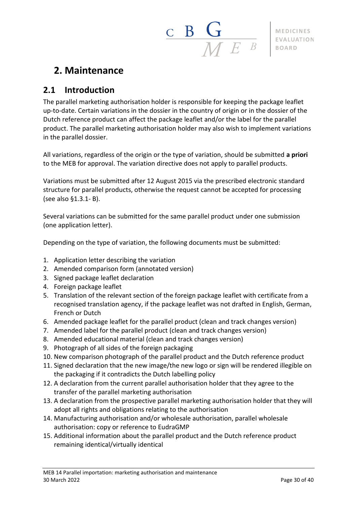# $\begin{array}{c|c|c|c} \textbf{B} & \textbf{G} & \textbf{MEDICINES} \ \hline \textbf{M} & \textbf{E} & \textbf{B} & \textbf{B} & \textbf{B} & \textbf{B} \ \textbf{B} & \textbf{B} & \textbf{B} & \textbf{B} & \textbf{B} \ \textbf{B} & \textbf{B} & \textbf{B} & \textbf{B} & \textbf{B} \ \end{array}$

# <span id="page-29-0"></span>**2. Maintenance**

# <span id="page-29-1"></span>**2.1 Introduction**

The parallel marketing authorisation holder is responsible for keeping the package leaflet up-to-date. Certain variations in the dossier in the country of origin or in the dossier of the Dutch reference product can affect the package leaflet and/or the label for the parallel product. The parallel marketing authorisation holder may also wish to implement variations in the parallel dossier.

All variations, regardless of the origin or the type of variation, should be submitted **a priori** to the MEB for approval. The variation directive does not apply to parallel products.

Variations must be submitted after 12 August 2015 via the prescribed electronic standard structure for parallel products, otherwise the request cannot be accepted for processing (see also §1.3.1- B).

Several variations can be submitted for the same parallel product under one submission (one application letter).

Depending on the type of variation, the following documents must be submitted:

- 1. Application letter describing the variation
- 2. Amended comparison form (annotated version)
- 3. Signed package leaflet declaration
- 4. Foreign package leaflet
- 5. Translation of the relevant section of the foreign package leaflet with certificate from a recognised translation agency, if the package leaflet was not drafted in English, German, French or Dutch
- 6. Amended package leaflet for the parallel product (clean and track changes version)
- 7. Amended label for the parallel product (clean and track changes version)
- 8. Amended educational material (clean and track changes version)
- 9. Photograph of all sides of the foreign packaging
- 10. New comparison photograph of the parallel product and the Dutch reference product
- 11. Signed declaration that the new image/the new logo or sign will be rendered illegible on the packaging if it contradicts the Dutch labelling policy
- 12. A declaration from the current parallel authorisation holder that they agree to the transfer of the parallel marketing authorisation
- 13. A declaration from the prospective parallel marketing authorisation holder that they will adopt all rights and obligations relating to the authorisation
- 14. Manufacturing authorisation and/or wholesale authorisation, parallel wholesale authorisation: copy or reference to EudraGMP
- 15. Additional information about the parallel product and the Dutch reference product remaining identical/virtually identical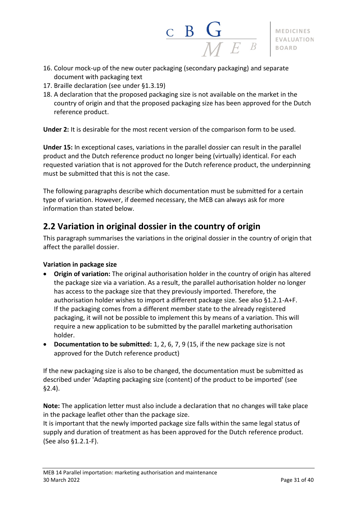

- 16. Colour mock-up of the new outer packaging (secondary packaging) and separate document with packaging text
- 17. Braille declaration (see under §1.3.19)
- 18. A declaration that the proposed packaging size is not available on the market in the country of origin and that the proposed packaging size has been approved for the Dutch reference product.

**Under 2:** It is desirable for the most recent version of the comparison form to be used.

**Under 15:** In exceptional cases, variations in the parallel dossier can result in the parallel product and the Dutch reference product no longer being (virtually) identical. For each requested variation that is not approved for the Dutch reference product, the underpinning must be submitted that this is not the case.

The following paragraphs describe which documentation must be submitted for a certain type of variation. However, if deemed necessary, the MEB can always ask for more information than stated below.

# <span id="page-30-0"></span>**2.2 Variation in original dossier in the country of origin**

This paragraph summarises the variations in the original dossier in the country of origin that affect the parallel dossier.

#### **Variation in package size**

- **Origin of variation:** The original authorisation holder in the country of origin has altered the package size via a variation. As a result, the parallel authorisation holder no longer has access to the package size that they previously imported. Therefore, the authorisation holder wishes to import a different package size. See also §1.2.1-A+F. If the packaging comes from a different member state to the already registered packaging, it will not be possible to implement this by means of a variation. This will require a new application to be submitted by the parallel marketing authorisation holder.
- **Documentation to be submitted:** 1, 2, 6, 7, 9 (15, if the new package size is not approved for the Dutch reference product)

If the new packaging size is also to be changed, the documentation must be submitted as described under 'Adapting packaging size (content) of the product to be imported' (see §2.4).

**Note:** The application letter must also include a declaration that no changes will take place in the package leaflet other than the package size.

It is important that the newly imported package size falls within the same legal status of supply and duration of treatment as has been approved for the Dutch reference product. (See also §1.2.1-F).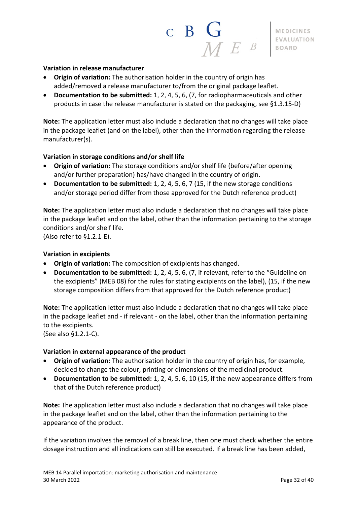

#### **Variation in release manufacturer**

- **Origin of variation:** The authorisation holder in the country of origin has added/removed a release manufacturer to/from the original package leaflet.
- **Documentation to be submitted:** 1, 2, 4, 5, 6, (7, for radiopharmaceuticals and other products in case the release manufacturer is stated on the packaging, see §1.3.15-D)

**Note:** The application letter must also include a declaration that no changes will take place in the package leaflet (and on the label), other than the information regarding the release manufacturer(s).

#### **Variation in storage conditions and/or shelf life**

- **Origin of variation:** The storage conditions and/or shelf life (before/after opening and/or further preparation) has/have changed in the country of origin.
- **Documentation to be submitted:** 1, 2, 4, 5, 6, 7 (15, if the new storage conditions and/or storage period differ from those approved for the Dutch reference product)

**Note:** The application letter must also include a declaration that no changes will take place in the package leaflet and on the label, other than the information pertaining to the storage conditions and/or shelf life.

(Also refer to §1.2.1-E).

#### **Variation in excipients**

- **Origin of variation:** The composition of excipients has changed.
- **Documentation to be submitted:** 1, 2, 4, 5, 6, (7, if relevant, refer to the "Guideline on the excipients" (MEB 08) for the rules for stating excipients on the label), (15, if the new storage composition differs from that approved for the Dutch reference product)

**Note:** The application letter must also include a declaration that no changes will take place in the package leaflet and - if relevant - on the label, other than the information pertaining to the excipients.

(See also §1.2.1-C).

#### **Variation in external appearance of the product**

- **Origin of variation:** The authorisation holder in the country of origin has, for example, decided to change the colour, printing or dimensions of the medicinal product.
- **Documentation to be submitted:** 1, 2, 4, 5, 6, 10 (15, if the new appearance differs from that of the Dutch reference product)

**Note:** The application letter must also include a declaration that no changes will take place in the package leaflet and on the label, other than the information pertaining to the appearance of the product.

If the variation involves the removal of a break line, then one must check whether the entire dosage instruction and all indications can still be executed. If a break line has been added,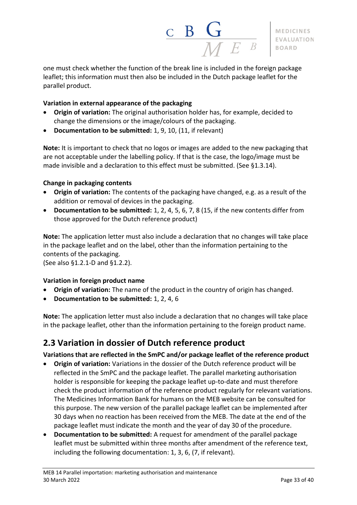

one must check whether the function of the break line is included in the foreign package leaflet; this information must then also be included in the Dutch package leaflet for the parallel product.

#### **Variation in external appearance of the packaging**

- **Origin of variation:** The original authorisation holder has, for example, decided to change the dimensions or the image/colours of the packaging.
- **Documentation to be submitted:** 1, 9, 10, (11, if relevant)

**Note:** It is important to check that no logos or images are added to the new packaging that are not acceptable under the labelling policy. If that is the case, the logo/image must be made invisible and a declaration to this effect must be submitted. (See §1.3.14).

#### **Change in packaging contents**

- **Origin of variation:** The contents of the packaging have changed, e.g. as a result of the addition or removal of devices in the packaging.
- **Documentation to be submitted:** 1, 2, 4, 5, 6, 7, 8 (15, if the new contents differ from those approved for the Dutch reference product)

**Note:** The application letter must also include a declaration that no changes will take place in the package leaflet and on the label, other than the information pertaining to the contents of the packaging.

(See also §1.2.1-D and §1.2.2).

#### **Variation in foreign product name**

- **Origin of variation:** The name of the product in the country of origin has changed.
- **Documentation to be submitted:** 1, 2, 4, 6

**Note:** The application letter must also include a declaration that no changes will take place in the package leaflet, other than the information pertaining to the foreign product name.

# <span id="page-32-0"></span>**2.3 Variation in dossier of Dutch reference product**

**Variations that are reflected in the SmPC and/or package leaflet of the reference product**

- **Origin of variation:** Variations in the dossier of the Dutch reference product will be reflected in the SmPC and the package leaflet. The parallel marketing authorisation holder is responsible for keeping the package leaflet up-to-date and must therefore check the product information of the reference product regularly for relevant variations. The Medicines Information Bank for humans on the MEB website can be consulted for this purpose. The new version of the parallel package leaflet can be implemented after 30 days when no reaction has been received from the MEB. The date at the end of the package leaflet must indicate the month and the year of day 30 of the procedure.
- **Documentation to be submitted:** A request for amendment of the parallel package leaflet must be submitted within three months after amendment of the reference text, including the following documentation: 1, 3, 6, (7, if relevant).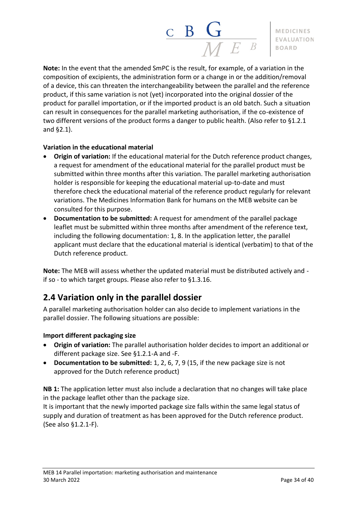

**Note:** In the event that the amended SmPC is the result, for example, of a variation in the composition of excipients, the administration form or a change in or the addition/removal of a device, this can threaten the interchangeability between the parallel and the reference product, if this same variation is not (yet) incorporated into the original dossier of the product for parallel importation, or if the imported product is an old batch. Such a situation can result in consequences for the parallel marketing authorisation, if the co-existence of two different versions of the product forms a danger to public health. (Also refer to §1.2.1 and §2.1).

#### **Variation in the educational material**

- **Origin of variation:** If the educational material for the Dutch reference product changes, a request for amendment of the educational material for the parallel product must be submitted within three months after this variation. The parallel marketing authorisation holder is responsible for keeping the educational material up-to-date and must therefore check the educational material of the reference product regularly for relevant variations. The Medicines Information Bank for humans on the MEB website can be consulted for this purpose.
- **Documentation to be submitted:** A request for amendment of the parallel package leaflet must be submitted within three months after amendment of the reference text, including the following documentation: 1, 8. In the application letter, the parallel applicant must declare that the educational material is identical (verbatim) to that of the Dutch reference product.

**Note:** The MEB will assess whether the updated material must be distributed actively and if so - to which target groups. Please also refer to §1.3.16.

# <span id="page-33-0"></span>**2.4 Variation only in the parallel dossier**

A parallel marketing authorisation holder can also decide to implement variations in the parallel dossier. The following situations are possible:

#### **Import different packaging size**

- **Origin of variation:** The parallel authorisation holder decides to import an additional or different package size. See §1.2.1-A and -F.
- **Documentation to be submitted:** 1, 2, 6, 7, 9 (15, if the new package size is not approved for the Dutch reference product)

**NB 1:** The application letter must also include a declaration that no changes will take place in the package leaflet other than the package size.

It is important that the newly imported package size falls within the same legal status of supply and duration of treatment as has been approved for the Dutch reference product. (See also §1.2.1-F).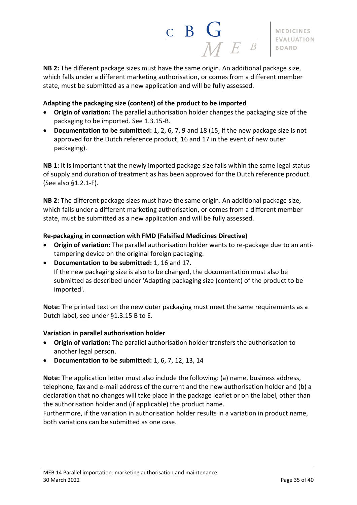

**NB 2:** The different package sizes must have the same origin. An additional package size, which falls under a different marketing authorisation, or comes from a different member state, must be submitted as a new application and will be fully assessed.

#### **Adapting the packaging size (content) of the product to be imported**

- **Origin of variation:** The parallel authorisation holder changes the packaging size of the packaging to be imported. See 1.3.15-B.
- **Documentation to be submitted:** 1, 2, 6, 7, 9 and 18 (15, if the new package size is not approved for the Dutch reference product, 16 and 17 in the event of new outer packaging).

**NB 1:** It is important that the newly imported package size falls within the same legal status of supply and duration of treatment as has been approved for the Dutch reference product. (See also §1.2.1-F).

**NB 2:** The different package sizes must have the same origin. An additional package size, which falls under a different marketing authorisation, or comes from a different member state, must be submitted as a new application and will be fully assessed.

#### **Re-packaging in connection with FMD (Falsified Medicines Directive)**

- **Origin of variation:** The parallel authorisation holder wants to re-package due to an antitampering device on the original foreign packaging.
- **Documentation to be submitted:** 1, 16 and 17. If the new packaging size is also to be changed, the documentation must also be submitted as described under 'Adapting packaging size (content) of the product to be imported'.

**Note:** The printed text on the new outer packaging must meet the same requirements as a Dutch label, see under §1.3.15 B to E.

#### **Variation in parallel authorisation holder**

- **Origin of variation:** The parallel authorisation holder transfers the authorisation to another legal person.
- **Documentation to be submitted:** 1, 6, 7, 12, 13, 14

**Note:** The application letter must also include the following: (a) name, business address, telephone, fax and e-mail address of the current and the new authorisation holder and (b) a declaration that no changes will take place in the package leaflet or on the label, other than the authorisation holder and (if applicable) the product name.

Furthermore, if the variation in authorisation holder results in a variation in product name, both variations can be submitted as one case.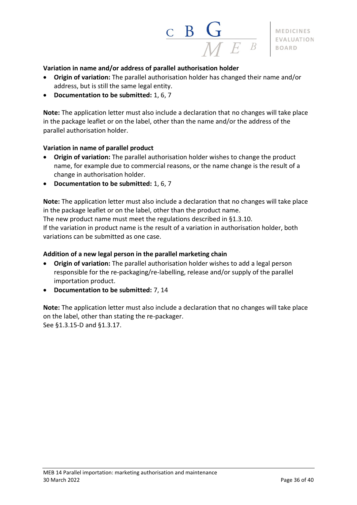

#### **Variation in name and/or address of parallel authorisation holder**

- **Origin of variation:** The parallel authorisation holder has changed their name and/or address, but is still the same legal entity.
- **Documentation to be submitted:** 1, 6, 7

**Note:** The application letter must also include a declaration that no changes will take place in the package leaflet or on the label, other than the name and/or the address of the parallel authorisation holder.

#### **Variation in name of parallel product**

- **Origin of variation:** The parallel authorisation holder wishes to change the product name, for example due to commercial reasons, or the name change is the result of a change in authorisation holder.
- **Documentation to be submitted:** 1, 6, 7

**Note:** The application letter must also include a declaration that no changes will take place in the package leaflet or on the label, other than the product name.

The new product name must meet the regulations described in §1.3.10.

If the variation in product name is the result of a variation in authorisation holder, both variations can be submitted as one case.

#### **Addition of a new legal person in the parallel marketing chain**

- **Origin of variation:** The parallel authorisation holder wishes to add a legal person responsible for the re-packaging/re-labelling, release and/or supply of the parallel importation product.
- **Documentation to be submitted:** 7, 14

**Note:** The application letter must also include a declaration that no changes will take place on the label, other than stating the re-packager. See §1.3.15-D and §1.3.17.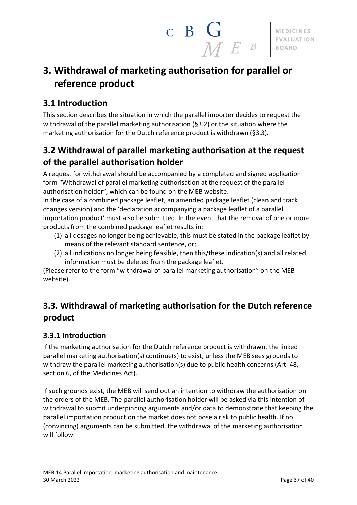

# <span id="page-36-0"></span>**3. Withdrawal of marketing authorisation for parallel or reference product**

# <span id="page-36-1"></span>**3.1 Introduction**

This section describes the situation in which the parallel importer decides to request the withdrawal of the parallel marketing authorisation (§3.2) or the situation where the marketing authorisation for the Dutch reference product is withdrawn (§3.3).

# <span id="page-36-2"></span>**3.2 Withdrawal of parallel marketing authorisation at the request of the parallel authorisation holder**

A request for withdrawal should be accompanied by a completed and signed application form "Withdrawal of parallel marketing authorisation at the request of the parallel authorisation holder", which can be found on the MEB website.

In the case of a combined package leaflet, an amended package leaflet (clean and track changes version) and the 'declaration accompanying a package leaflet of a parallel importation product' must also be submitted. In the event that the removal of one or more products from the combined package leaflet results in:

- (1) all dosages no longer being achievable, this must be stated in the package leaflet by means of the relevant standard sentence, or;
- (2) all indications no longer being feasible, then this/these indication(s) and all related information must be deleted from the package leaflet.

(Please refer to the form "withdrawal of parallel marketing authorisation" on the MEB website).

# <span id="page-36-3"></span>**3.3. Withdrawal of marketing authorisation for the Dutch reference product**

# <span id="page-36-4"></span>**3.3.1 Introduction**

If the marketing authorisation for the Dutch reference product is withdrawn, the linked parallel marketing authorisation(s) continue(s) to exist, unless the MEB sees grounds to withdraw the parallel marketing authorisation(s) due to public health concerns (Art. 48, section 6, of the Medicines Act).

If such grounds exist, the MEB will send out an intention to withdraw the authorisation on the orders of the MEB. The parallel authorisation holder will be asked via this intention of withdrawal to submit underpinning arguments and/or data to demonstrate that keeping the parallel importation product on the market does not pose a risk to public health. If no (convincing) arguments can be submitted, the withdrawal of the marketing authorisation will follow.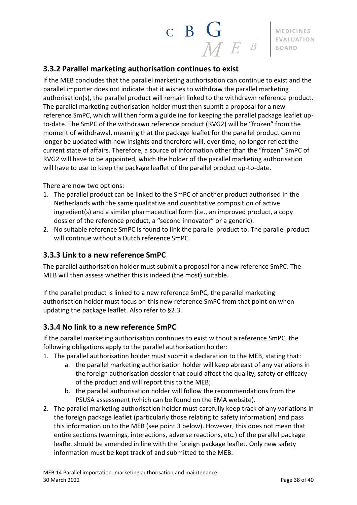# <span id="page-37-0"></span>**3.3.2 Parallel marketing authorisation continues to exist**

If the MEB concludes that the parallel marketing authorisation can continue to exist and the parallel importer does not indicate that it wishes to withdraw the parallel marketing authorisation(s), the parallel product will remain linked to the withdrawn reference product. The parallel marketing authorisation holder must then submit a proposal for a new reference SmPC, which will then form a guideline for keeping the parallel package leaflet upto-date. The SmPC of the withdrawn reference product (RVG2) will be "frozen" from the moment of withdrawal, meaning that the package leaflet for the parallel product can no longer be updated with new insights and therefore will, over time, no longer reflect the current state of affairs. Therefore, a source of information other than the "frozen" SmPC of RVG2 will have to be appointed, which the holder of the parallel marketing authorisation will have to use to keep the package leaflet of the parallel product up-to-date.

There are now two options:

- 1. The parallel product can be linked to the SmPC of another product authorised in the Netherlands with the same qualitative and quantitative composition of active ingredient(s) and a similar pharmaceutical form (i.e., an improved product, a copy dossier of the reference product, a "second innovator" or a generic).
- 2. No suitable reference SmPC is found to link the parallel product to. The parallel product will continue without a Dutch reference SmPC.

## <span id="page-37-1"></span>**3.3.3 Link to a new reference SmPC**

The parallel authorisation holder must submit a proposal for a new reference SmPC. The MEB will then assess whether this is indeed (the most) suitable.

If the parallel product is linked to a new reference SmPC, the parallel marketing authorisation holder must focus on this new reference SmPC from that point on when updating the package leaflet. Also refer to §2.3.

## <span id="page-37-2"></span>**3.3.4 No link to a new reference SmPC**

If the parallel marketing authorisation continues to exist without a reference SmPC, the following obligations apply to the parallel authorisation holder:

- 1. The parallel authorisation holder must submit a declaration to the MEB, stating that:
	- a. the parallel marketing authorisation holder will keep abreast of any variations in the foreign authorisation dossier that could affect the quality, safety or efficacy of the product and will report this to the MEB;
	- b. the parallel authorisation holder will follow the recommendations from the PSUSA assessment (which can be found on the EMA website).
- 2. The parallel marketing authorisation holder must carefully keep track of any variations in the foreign package leaflet (particularly those relating to safety information) and pass this information on to the MEB (see point 3 below). However, this does not mean that entire sections (warnings, interactions, adverse reactions, etc.) of the parallel package leaflet should be amended in line with the foreign package leaflet. Only new safety information must be kept track of and submitted to the MEB.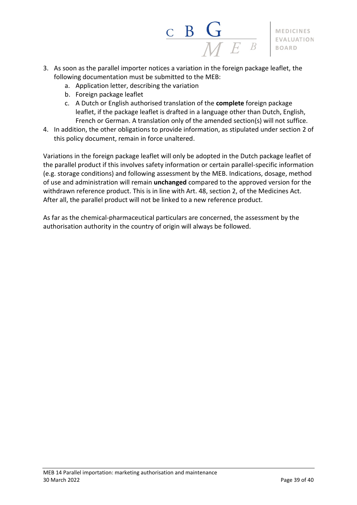

- 3. As soon as the parallel importer notices a variation in the foreign package leaflet, the following documentation must be submitted to the MEB:
	- a. Application letter, describing the variation
	- b. Foreign package leaflet
	- c. A Dutch or English authorised translation of the **complete** foreign package leaflet, if the package leaflet is drafted in a language other than Dutch, English, French or German. A translation only of the amended section(s) will not suffice.
- 4. In addition, the other obligations to provide information, as stipulated under section 2 of this policy document, remain in force unaltered.

Variations in the foreign package leaflet will only be adopted in the Dutch package leaflet of the parallel product if this involves safety information or certain parallel-specific information (e.g. storage conditions) and following assessment by the MEB. Indications, dosage, method of use and administration will remain **unchanged** compared to the approved version for the withdrawn reference product. This is in line with Art. 48, section 2, of the Medicines Act. After all, the parallel product will not be linked to a new reference product.

As far as the chemical-pharmaceutical particulars are concerned, the assessment by the authorisation authority in the country of origin will always be followed.